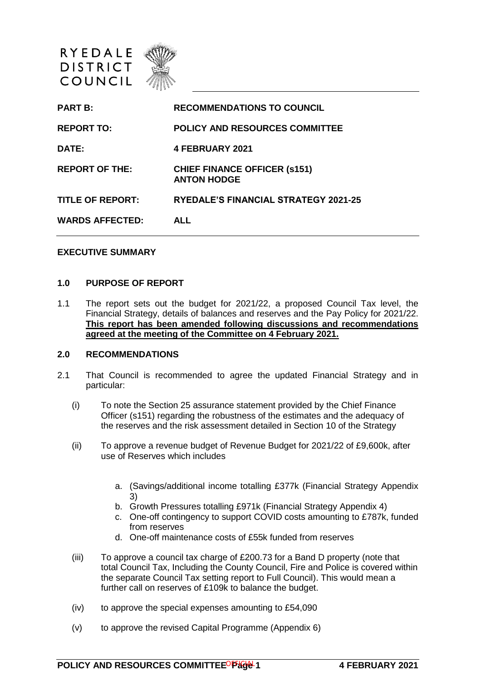

| <b>PART B:</b>          | <b>RECOMMENDATIONS TO COUNCIL</b>                          |
|-------------------------|------------------------------------------------------------|
| <b>REPORT TO:</b>       | <b>POLICY AND RESOURCES COMMITTEE</b>                      |
| <b>DATE:</b>            | <b>4 FEBRUARY 2021</b>                                     |
| <b>REPORT OF THE:</b>   | <b>CHIEF FINANCE OFFICER (\$151)</b><br><b>ANTON HODGE</b> |
| <b>TITLE OF REPORT:</b> | <b>RYEDALE'S FINANCIAL STRATEGY 2021-25</b>                |
| <b>WARDS AFFECTED:</b>  | <b>ALL</b>                                                 |
|                         |                                                            |

# **EXECUTIVE SUMMARY**

#### **1.0 PURPOSE OF REPORT**

1.1 The report sets out the budget for 2021/22, a proposed Council Tax level, the Financial Strategy, details of balances and reserves and the Pay Policy for 2021/22. **This report has been amended following discussions and recommendations agreed at the meeting of the Committee on 4 February 2021.**

#### **2.0 RECOMMENDATIONS**

- 2.1 That Council is recommended to agree the updated Financial Strategy and in particular:
	- (i) To note the Section 25 assurance statement provided by the Chief Finance Officer (s151) regarding the robustness of the estimates and the adequacy of the reserves and the risk assessment detailed in Section 10 of the Strategy
	- (ii) To approve a revenue budget of Revenue Budget for 2021/22 of £9,600k, after use of Reserves which includes
		- a. (Savings/additional income totalling £377k (Financial Strategy Appendix 3)
		- b. Growth Pressures totalling £971k (Financial Strategy Appendix 4)
		- c. One-off contingency to support COVID costs amounting to £787k, funded from reserves
		- d. One-off maintenance costs of £55k funded from reserves
	- (iii) To approve a council tax charge of £200.73 for a Band D property (note that total Council Tax, Including the County Council, Fire and Police is covered within the separate Council Tax setting report to Full Council). This would mean a further call on reserves of £109k to balance the budget.
	- (iv) to approve the special expenses amounting to £54,090
	- (v) to approve the revised Capital Programme (Appendix 6)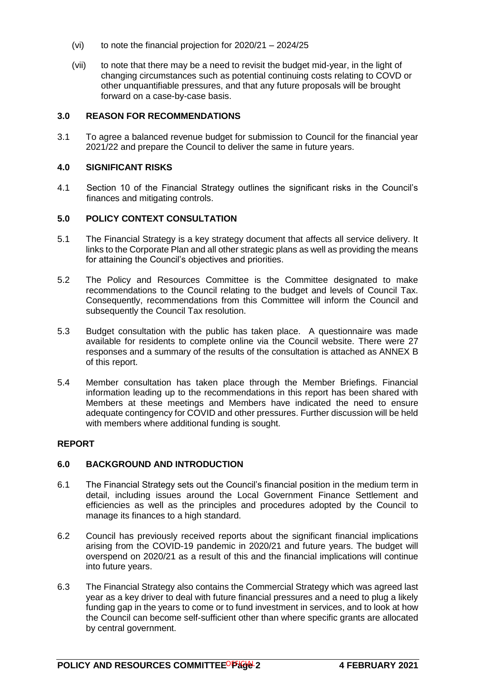- (vi) to note the financial projection for  $2020/21 2024/25$
- (vii) to note that there may be a need to revisit the budget mid-year, in the light of changing circumstances such as potential continuing costs relating to COVD or other unquantifiable pressures, and that any future proposals will be brought forward on a case-by-case basis.

# **3.0 REASON FOR RECOMMENDATIONS**

3.1 To agree a balanced revenue budget for submission to Council for the financial year 2021/22 and prepare the Council to deliver the same in future years.

# **4.0 SIGNIFICANT RISKS**

4.1 Section 10 of the Financial Strategy outlines the significant risks in the Council's finances and mitigating controls.

# **5.0 POLICY CONTEXT CONSULTATION**

- 5.1 The Financial Strategy is a key strategy document that affects all service delivery. It links to the Corporate Plan and all other strategic plans as well as providing the means for attaining the Council's objectives and priorities.
- 5.2 The Policy and Resources Committee is the Committee designated to make recommendations to the Council relating to the budget and levels of Council Tax. Consequently, recommendations from this Committee will inform the Council and subsequently the Council Tax resolution.
- 5.3 Budget consultation with the public has taken place. A questionnaire was made available for residents to complete online via the Council website. There were 27 responses and a summary of the results of the consultation is attached as ANNEX B of this report.
- 5.4 Member consultation has taken place through the Member Briefings. Financial information leading up to the recommendations in this report has been shared with Members at these meetings and Members have indicated the need to ensure adequate contingency for COVID and other pressures. Further discussion will be held with members where additional funding is sought.

# **REPORT**

# **6.0 BACKGROUND AND INTRODUCTION**

- 6.1 The Financial Strategy sets out the Council's financial position in the medium term in detail, including issues around the Local Government Finance Settlement and efficiencies as well as the principles and procedures adopted by the Council to manage its finances to a high standard.
- 6.2 Council has previously received reports about the significant financial implications arising from the COVID-19 pandemic in 2020/21 and future years. The budget will overspend on 2020/21 as a result of this and the financial implications will continue into future years.
- 6.3 The Financial Strategy also contains the Commercial Strategy which was agreed last year as a key driver to deal with future financial pressures and a need to plug a likely funding gap in the years to come or to fund investment in services, and to look at how the Council can become self-sufficient other than where specific grants are allocated by central government.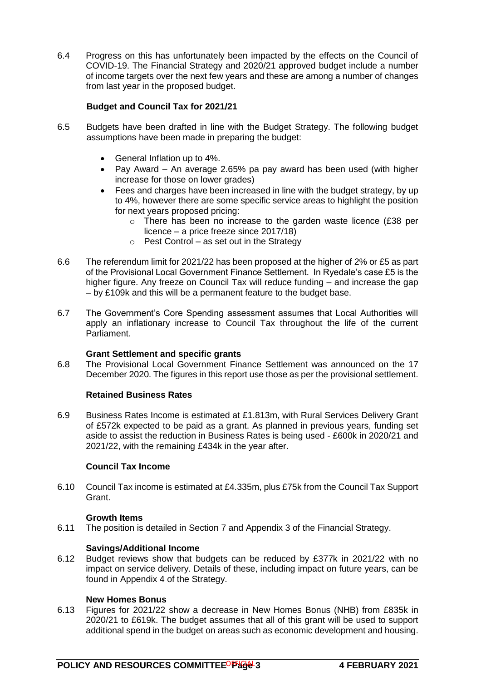6.4 Progress on this has unfortunately been impacted by the effects on the Council of COVID-19. The Financial Strategy and 2020/21 approved budget include a number of income targets over the next few years and these are among a number of changes from last year in the proposed budget.

# **Budget and Council Tax for 2021/21**

- 6.5 Budgets have been drafted in line with the Budget Strategy. The following budget assumptions have been made in preparing the budget:
	- General Inflation up to 4%.
	- Pay Award An average 2.65% pa pay award has been used (with higher increase for those on lower grades)
	- Fees and charges have been increased in line with the budget strategy, by up to 4%, however there are some specific service areas to highlight the position for next years proposed pricing:
		- o There has been no increase to the garden waste licence (£38 per licence – a price freeze since 2017/18)
		- $\circ$  Pest Control as set out in the Strategy
- 6.6 The referendum limit for 2021/22 has been proposed at the higher of 2% or £5 as part of the Provisional Local Government Finance Settlement. In Ryedale's case £5 is the higher figure. Any freeze on Council Tax will reduce funding – and increase the gap – by £109k and this will be a permanent feature to the budget base.
- 6.7 The Government's Core Spending assessment assumes that Local Authorities will apply an inflationary increase to Council Tax throughout the life of the current Parliament.

# **Grant Settlement and specific grants**

6.8 The Provisional Local Government Finance Settlement was announced on the 17 December 2020. The figures in this report use those as per the provisional settlement.

# **Retained Business Rates**

6.9 Business Rates Income is estimated at £1.813m, with Rural Services Delivery Grant of £572k expected to be paid as a grant. As planned in previous years, funding set aside to assist the reduction in Business Rates is being used - £600k in 2020/21 and 2021/22, with the remaining £434k in the year after.

# **Council Tax Income**

6.10 Council Tax income is estimated at £4.335m, plus £75k from the Council Tax Support Grant.

# **Growth Items**

6.11 The position is detailed in Section 7 and Appendix 3 of the Financial Strategy.

# **Savings/Additional Income**

6.12 Budget reviews show that budgets can be reduced by £377k in 2021/22 with no impact on service delivery. Details of these, including impact on future years, can be found in Appendix 4 of the Strategy.

#### **New Homes Bonus**

6.13 Figures for 2021/22 show a decrease in New Homes Bonus (NHB) from £835k in 2020/21 to £619k. The budget assumes that all of this grant will be used to support additional spend in the budget on areas such as economic development and housing.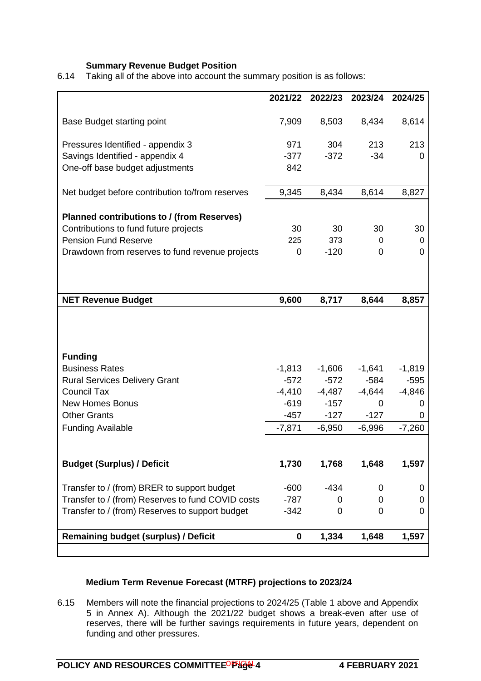# **Summary Revenue Budget Position**

6.14 Taking all of the above into account the summary position is as follows:

|                                                   | 2021/22        | 2022/23  | 2023/24  | 2024/25  |
|---------------------------------------------------|----------------|----------|----------|----------|
|                                                   |                |          |          |          |
| <b>Base Budget starting point</b>                 | 7,909          | 8,503    | 8,434    | 8,614    |
| Pressures Identified - appendix 3                 | 971            | 304      | 213      | 213      |
| Savings Identified - appendix 4                   | $-377$         | $-372$   | $-34$    | 0        |
| One-off base budget adjustments                   | 842            |          |          |          |
| Net budget before contribution to/from reserves   | 9,345          | 8,434    | 8,614    | 8,827    |
|                                                   |                |          |          |          |
| <b>Planned contributions to / (from Reserves)</b> |                |          |          |          |
| Contributions to fund future projects             | 30             | 30       | 30       | 30       |
| <b>Pension Fund Reserve</b>                       | 225            | 373      | 0        | 0        |
| Drawdown from reserves to fund revenue projects   | $\overline{0}$ | $-120$   | 0        | 0        |
|                                                   |                |          |          |          |
|                                                   |                |          |          |          |
| <b>NET Revenue Budget</b>                         | 9,600          | 8,717    | 8,644    | 8,857    |
|                                                   |                |          |          |          |
| <b>Funding</b>                                    |                |          |          |          |
| <b>Business Rates</b>                             | $-1,813$       | $-1,606$ | $-1,641$ | $-1,819$ |
| <b>Rural Services Delivery Grant</b>              | $-572$         | $-572$   | $-584$   | $-595$   |
| <b>Council Tax</b>                                | $-4,410$       | $-4,487$ | $-4,644$ | $-4,846$ |
| <b>New Homes Bonus</b>                            | $-619$         | $-157$   | 0        | O        |
| <b>Other Grants</b>                               | $-457$         | $-127$   | $-127$   | 0        |
| <b>Funding Available</b>                          | $-7,871$       | $-6,950$ | $-6,996$ | $-7,260$ |
|                                                   |                |          |          |          |
| <b>Budget (Surplus) / Deficit</b>                 | 1,730          | 1,768    | 1,648    | 1,597    |
| Transfer to / (from) BRER to support budget       | $-600$         | $-434$   | 0        | O        |
| Transfer to / (from) Reserves to fund COVID costs | $-787$         | 0        | 0        | 0        |
| Transfer to / (from) Reserves to support budget   | $-342$         | 0        | 0        | 0        |
|                                                   |                |          |          |          |
| <b>Remaining budget (surplus) / Deficit</b>       | $\bf{0}$       | 1,334    | 1,648    | 1,597    |
|                                                   |                |          |          |          |

# **Medium Term Revenue Forecast (MTRF) projections to 2023/24**

6.15 Members will note the financial projections to 2024/25 (Table 1 above and Appendix 5 in Annex A). Although the 2021/22 budget shows a break-even after use of reserves, there will be further savings requirements in future years, dependent on funding and other pressures.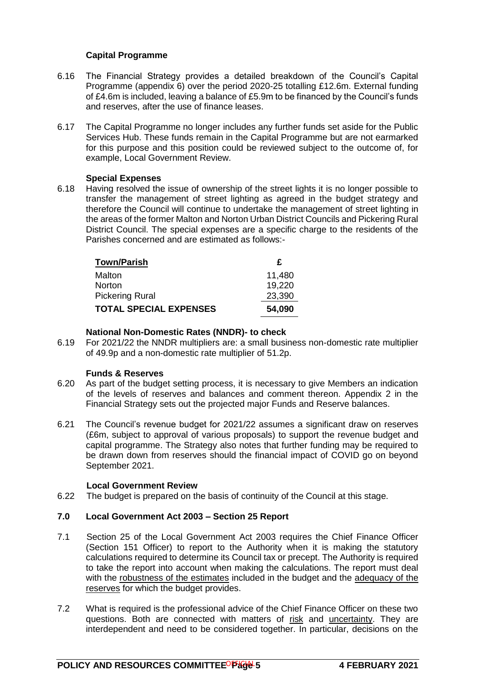# **Capital Programme**

- 6.16 The Financial Strategy provides a detailed breakdown of the Council's Capital Programme (appendix 6) over the period 2020-25 totalling £12.6m. External funding of £4.6m is included, leaving a balance of £5.9m to be financed by the Council's funds and reserves, after the use of finance leases.
- 6.17 The Capital Programme no longer includes any further funds set aside for the Public Services Hub. These funds remain in the Capital Programme but are not earmarked for this purpose and this position could be reviewed subject to the outcome of, for example, Local Government Review.

# **Special Expenses**

6.18 Having resolved the issue of ownership of the street lights it is no longer possible to transfer the management of street lighting as agreed in the budget strategy and therefore the Council will continue to undertake the management of street lighting in the areas of the former Malton and Norton Urban District Councils and Pickering Rural District Council. The special expenses are a specific charge to the residents of the Parishes concerned and are estimated as follows:-

| <b>Town/Parish</b>            | £      |
|-------------------------------|--------|
| Malton                        | 11,480 |
| <b>Norton</b>                 | 19,220 |
| <b>Pickering Rural</b>        | 23,390 |
| <b>TOTAL SPECIAL EXPENSES</b> | 54,090 |

# **National Non-Domestic Rates (NNDR)- to check**

6.19 For 2021/22 the NNDR multipliers are: a small business non-domestic rate multiplier of 49.9p and a non-domestic rate multiplier of 51.2p.

# **Funds & Reserves**

- 6.20 As part of the budget setting process, it is necessary to give Members an indication of the levels of reserves and balances and comment thereon. Appendix 2 in the Financial Strategy sets out the projected major Funds and Reserve balances.
- 6.21 The Council's revenue budget for 2021/22 assumes a significant draw on reserves (£6m, subject to approval of various proposals) to support the revenue budget and capital programme. The Strategy also notes that further funding may be required to be drawn down from reserves should the financial impact of COVID go on beyond September 2021.

# **Local Government Review**

6.22 The budget is prepared on the basis of continuity of the Council at this stage.

# **7.0 Local Government Act 2003 – Section 25 Report**

- 7.1 Section 25 of the Local Government Act 2003 requires the Chief Finance Officer (Section 151 Officer) to report to the Authority when it is making the statutory calculations required to determine its Council tax or precept. The Authority is required to take the report into account when making the calculations. The report must deal with the robustness of the estimates included in the budget and the adequacy of the reserves for which the budget provides.
- 7.2 What is required is the professional advice of the Chief Finance Officer on these two questions. Both are connected with matters of risk and uncertainty. They are interdependent and need to be considered together. In particular, decisions on the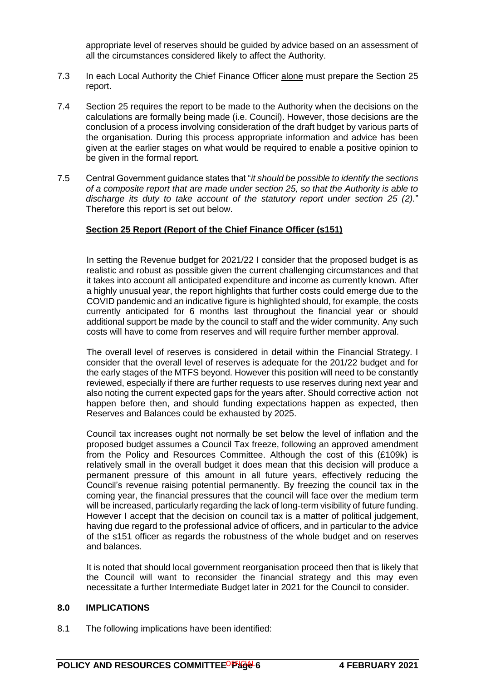appropriate level of reserves should be guided by advice based on an assessment of all the circumstances considered likely to affect the Authority.

- 7.3 In each Local Authority the Chief Finance Officer alone must prepare the Section 25 report.
- 7.4 Section 25 requires the report to be made to the Authority when the decisions on the calculations are formally being made (i.e. Council). However, those decisions are the conclusion of a process involving consideration of the draft budget by various parts of the organisation. During this process appropriate information and advice has been given at the earlier stages on what would be required to enable a positive opinion to be given in the formal report.
- 7.5 Central Government guidance states that "*it should be possible to identify the sections of a composite report that are made under section 25, so that the Authority is able to discharge its duty to take account of the statutory report under section 25 (2).*" Therefore this report is set out below.

# **Section 25 Report (Report of the Chief Finance Officer (s151)**

In setting the Revenue budget for 2021/22 I consider that the proposed budget is as realistic and robust as possible given the current challenging circumstances and that it takes into account all anticipated expenditure and income as currently known. After a highly unusual year, the report highlights that further costs could emerge due to the COVID pandemic and an indicative figure is highlighted should, for example, the costs currently anticipated for 6 months last throughout the financial year or should additional support be made by the council to staff and the wider community. Any such costs will have to come from reserves and will require further member approval.

The overall level of reserves is considered in detail within the Financial Strategy. I consider that the overall level of reserves is adequate for the 201/22 budget and for the early stages of the MTFS beyond. However this position will need to be constantly reviewed, especially if there are further requests to use reserves during next year and also noting the current expected gaps for the years after. Should corrective action not happen before then, and should funding expectations happen as expected, then Reserves and Balances could be exhausted by 2025.

Council tax increases ought not normally be set below the level of inflation and the proposed budget assumes a Council Tax freeze, following an approved amendment from the Policy and Resources Committee. Although the cost of this (£109k) is relatively small in the overall budget it does mean that this decision will produce a permanent pressure of this amount in all future years, effectively reducing the Council's revenue raising potential permanently. By freezing the council tax in the coming year, the financial pressures that the council will face over the medium term will be increased, particularly regarding the lack of long-term visibility of future funding. However I accept that the decision on council tax is a matter of political judgement, having due regard to the professional advice of officers, and in particular to the advice of the s151 officer as regards the robustness of the whole budget and on reserves and balances.

It is noted that should local government reorganisation proceed then that is likely that the Council will want to reconsider the financial strategy and this may even necessitate a further Intermediate Budget later in 2021 for the Council to consider.

#### **8.0 IMPLICATIONS**

8.1 The following implications have been identified: